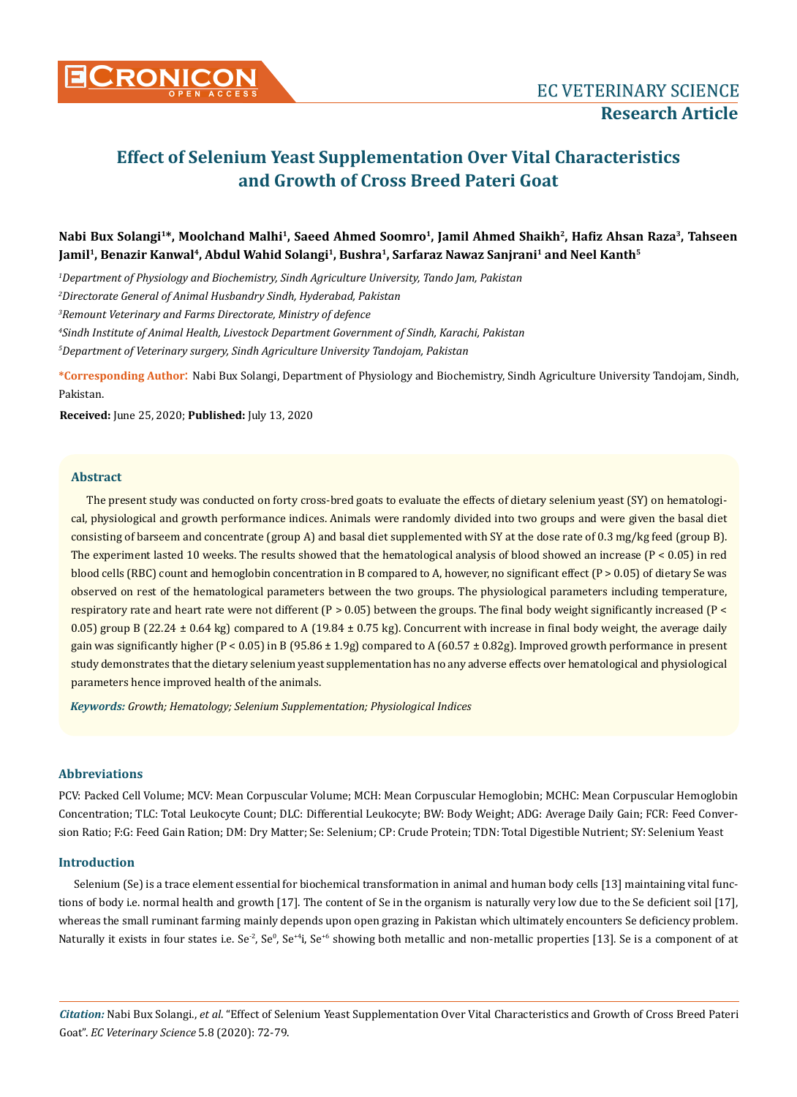

# **Effect of Selenium Yeast Supplementation Over Vital Characteristics and Growth of Cross Breed Pateri Goat**

# **Nabi Bux Solangi1\*, Moolchand Malhi1, Saeed Ahmed Soomro1, Jamil Ahmed Shaikh2, Hafiz Ahsan Raza3, Tahseen Jamil1, Benazir Kanwal4, Abdul Wahid Solangi1, Bushra1, Sarfaraz Nawaz Sanjrani<sup>1</sup> and Neel Kanth<sup>5</sup>**

*1 Department of Physiology and Biochemistry, Sindh Agriculture University, Tando Jam, Pakistan*

*2 Directorate General of Animal Husbandry Sindh, Hyderabad, Pakistan*

*3 Remount Veterinary and Farms Directorate, Ministry of defence*

*4 Sindh Institute of Animal Health, Livestock Department Government of Sindh, Karachi, Pakistan*

*5 Department of Veterinary surgery, Sindh Agriculture University Tandojam, Pakistan*

**\*Corresponding Author**: Nabi Bux Solangi, Department of Physiology and Biochemistry, Sindh Agriculture University Tandojam, Sindh, Pakistan.

**Received:** June 25, 2020; **Published:** July 13, 2020

## **Abstract**

The present study was conducted on forty cross-bred goats to evaluate the effects of dietary selenium yeast (SY) on hematological, physiological and growth performance indices. Animals were randomly divided into two groups and were given the basal diet consisting of barseem and concentrate (group A) and basal diet supplemented with SY at the dose rate of 0.3 mg/kg feed (group B). The experiment lasted 10 weeks. The results showed that the hematological analysis of blood showed an increase ( $P < 0.05$ ) in red blood cells (RBC) count and hemoglobin concentration in B compared to A, however, no significant effect ( $P > 0.05$ ) of dietary Se was observed on rest of the hematological parameters between the two groups. The physiological parameters including temperature, respiratory rate and heart rate were not different ( $P > 0.05$ ) between the groups. The final body weight significantly increased ( $P <$ 0.05) group B (22.24  $\pm$  0.64 kg) compared to A (19.84  $\pm$  0.75 kg). Concurrent with increase in final body weight, the average daily gain was significantly higher (P < 0.05) in B (95.86  $\pm$  1.9g) compared to A (60.57  $\pm$  0.82g). Improved growth performance in present study demonstrates that the dietary selenium yeast supplementation has no any adverse effects over hematological and physiological parameters hence improved health of the animals.

*Keywords: Growth; Hematology; Selenium Supplementation; Physiological Indices*

#### **Abbreviations**

PCV: Packed Cell Volume; MCV: Mean Corpuscular Volume; MCH: Mean Corpuscular Hemoglobin; MCHC: Mean Corpuscular Hemoglobin Concentration; TLC: Total Leukocyte Count; DLC: Differential Leukocyte; BW: Body Weight; ADG: Average Daily Gain; FCR: Feed Conversion Ratio; F:G: Feed Gain Ration; DM: Dry Matter; Se: Selenium; CP: Crude Protein; TDN: Total Digestible Nutrient; SY: Selenium Yeast

#### **Introduction**

Selenium (Se) is a trace element essential for biochemical transformation in animal and human body cells [13] maintaining vital functions of body i.e. normal health and growth [17]. The content of Se in the organism is naturally very low due to the Se deficient soil [17], whereas the small ruminant farming mainly depends upon open grazing in Pakistan which ultimately encounters Se deficiency problem. Naturally it exists in four states i.e. Se<sup>-2</sup>, Se<sup>1,</sup> Se<sup>+6</sup> showing both metallic and non-metallic properties [13]. Se is a component of at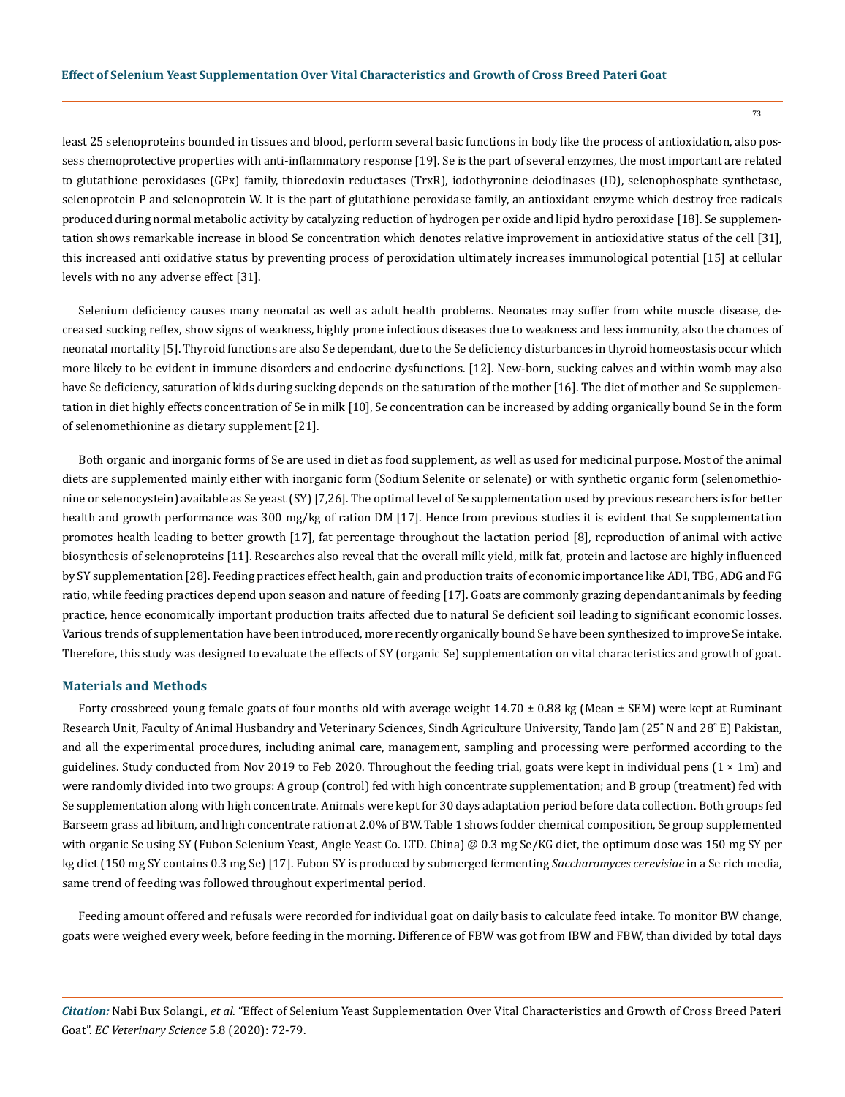least 25 selenoproteins bounded in tissues and blood, perform several basic functions in body like the process of antioxidation, also possess chemoprotective properties with anti-inflammatory response [19]. Se is the part of several enzymes, the most important are related to glutathione peroxidases (GPx) family, thioredoxin reductases (TrxR), iodothyronine deiodinases (ID), selenophosphate synthetase, selenoprotein P and selenoprotein W. It is the part of glutathione peroxidase family, an antioxidant enzyme which destroy free radicals produced during normal metabolic activity by catalyzing reduction of hydrogen per oxide and lipid hydro peroxidase [18]. Se supplementation shows remarkable increase in blood Se concentration which denotes relative improvement in antioxidative status of the cell [31], this increased anti oxidative status by preventing process of peroxidation ultimately increases immunological potential [15] at cellular levels with no any adverse effect [31].

Selenium deficiency causes many neonatal as well as adult health problems. Neonates may suffer from white muscle disease, decreased sucking reflex, show signs of weakness, highly prone infectious diseases due to weakness and less immunity, also the chances of neonatal mortality [5]. Thyroid functions are also Se dependant, due to the Se deficiency disturbances in thyroid homeostasis occur which more likely to be evident in immune disorders and endocrine dysfunctions. [12]. New-born, sucking calves and within womb may also have Se deficiency, saturation of kids during sucking depends on the saturation of the mother [16]. The diet of mother and Se supplementation in diet highly effects concentration of Se in milk [10], Se concentration can be increased by adding organically bound Se in the form of selenomethionine as dietary supplement [21].

Both organic and inorganic forms of Se are used in diet as food supplement, as well as used for medicinal purpose. Most of the animal diets are supplemented mainly either with inorganic form (Sodium Selenite or selenate) or with synthetic organic form (selenomethionine or selenocystein) available as Se yeast (SY) [7,26]. The optimal level of Se supplementation used by previous researchers is for better health and growth performance was 300 mg/kg of ration DM [17]. Hence from previous studies it is evident that Se supplementation promotes health leading to better growth [17], fat percentage throughout the lactation period [8], reproduction of animal with active biosynthesis of selenoproteins [11]. Researches also reveal that the overall milk yield, milk fat, protein and lactose are highly influenced by SY supplementation [28]. Feeding practices effect health, gain and production traits of economic importance like ADI, TBG, ADG and FG ratio, while feeding practices depend upon season and nature of feeding [17]. Goats are commonly grazing dependant animals by feeding practice, hence economically important production traits affected due to natural Se deficient soil leading to significant economic losses. Various trends of supplementation have been introduced, more recently organically bound Se have been synthesized to improve Se intake. Therefore, this study was designed to evaluate the effects of SY (organic Se) supplementation on vital characteristics and growth of goat.

#### **Materials and Methods**

Forty crossbreed young female goats of four months old with average weight  $14.70 \pm 0.88$  kg (Mean  $\pm$  SEM) were kept at Ruminant Research Unit, Faculty of Animal Husbandry and Veterinary Sciences, Sindh Agriculture University, Tando Jam (25˚ N and 28˚ E) Pakistan, and all the experimental procedures, including animal care, management, sampling and processing were performed according to the guidelines. Study conducted from Nov 2019 to Feb 2020. Throughout the feeding trial, goats were kept in individual pens  $(1 \times 1m)$  and were randomly divided into two groups: A group (control) fed with high concentrate supplementation; and B group (treatment) fed with Se supplementation along with high concentrate. Animals were kept for 30 days adaptation period before data collection. Both groups fed Barseem grass ad libitum, and high concentrate ration at 2.0% of BW. Table 1 shows fodder chemical composition, Se group supplemented with organic Se using SY (Fubon Selenium Yeast, Angle Yeast Co. LTD. China) @ 0.3 mg Se/KG diet, the optimum dose was 150 mg SY per kg diet (150 mg SY contains 0.3 mg Se) [17]. Fubon SY is produced by submerged fermenting *Saccharomyces cerevisiae* in a Se rich media, same trend of feeding was followed throughout experimental period.

Feeding amount offered and refusals were recorded for individual goat on daily basis to calculate feed intake. To monitor BW change, goats were weighed every week, before feeding in the morning. Difference of FBW was got from IBW and FBW, than divided by total days

*Citation:* Nabi Bux Solangi., *et al*. "Effect of Selenium Yeast Supplementation Over Vital Characteristics and Growth of Cross Breed Pateri Goat". *EC Veterinary Science* 5.8 (2020): 72-79.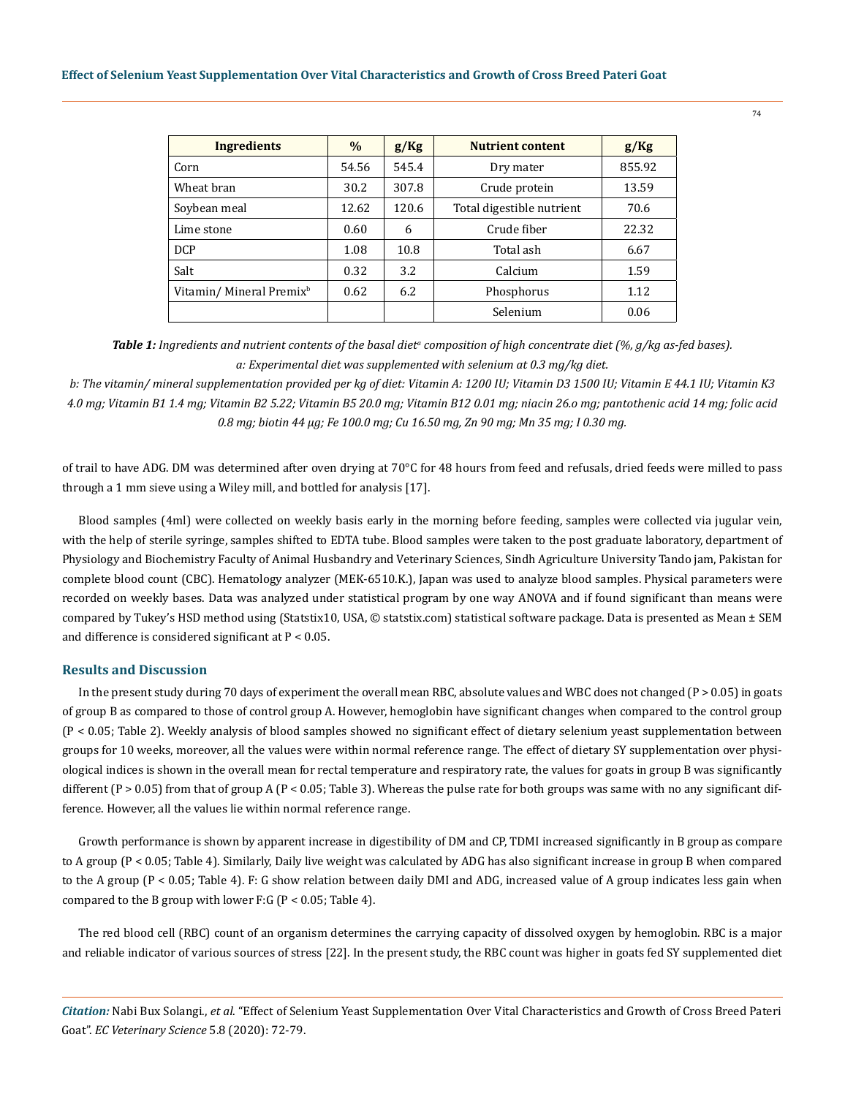| <b>Ingredients</b>                   | $\frac{0}{0}$ | g/Kg  | <b>Nutrient content</b>   | g/Kg   |
|--------------------------------------|---------------|-------|---------------------------|--------|
| Corn                                 | 54.56         | 545.4 | Dry mater                 | 855.92 |
| Wheat bran                           | 30.2          | 307.8 | Crude protein             | 13.59  |
| Soybean meal                         | 12.62         | 120.6 | Total digestible nutrient | 70.6   |
| Lime stone                           | 0.60          | 6     | Crude fiber               | 22.32  |
| <b>DCP</b>                           | 1.08          | 10.8  | Total ash                 | 6.67   |
| Salt                                 | 0.32          | 3.2   | Calcium                   | 1.59   |
| Vitamin/ Mineral Premix <sup>b</sup> | 0.62          | 6.2   | Phosphorus                | 1.12   |
|                                      |               |       | Selenium                  | 0.06   |

Table 1: Ingredients and nutrient contents of the basal diet<sup>a</sup> composition of high concentrate diet (%, g/kg as-fed bases). *a: Experimental diet was supplemented with selenium at 0.3 mg/kg diet.*

*b: The vitamin/ mineral supplementation provided per kg of diet: Vitamin A: 1200 IU; Vitamin D3 1500 IU; Vitamin E 44.1 IU; Vitamin K3 4.0 mg; Vitamin B1 1.4 mg; Vitamin B2 5.22; Vitamin B5 20.0 mg; Vitamin B12 0.01 mg; niacin 26.o mg; pantothenic acid 14 mg; folic acid 0.8 mg; biotin 44 µg; Fe 100.0 mg; Cu 16.50 mg, Zn 90 mg; Mn 35 mg; I 0.30 mg.*

of trail to have ADG. DM was determined after oven drying at 70°C for 48 hours from feed and refusals, dried feeds were milled to pass through a 1 mm sieve using a Wiley mill, and bottled for analysis [17].

Blood samples (4ml) were collected on weekly basis early in the morning before feeding, samples were collected via jugular vein, with the help of sterile syringe, samples shifted to EDTA tube. Blood samples were taken to the post graduate laboratory, department of Physiology and Biochemistry Faculty of Animal Husbandry and Veterinary Sciences, Sindh Agriculture University Tando jam, Pakistan for complete blood count (CBC). Hematology analyzer (MEK-6510.K.), Japan was used to analyze blood samples. Physical parameters were recorded on weekly bases. Data was analyzed under statistical program by one way ANOVA and if found significant than means were compared by Tukey's HSD method using (Statstix10, USA, © statstix.com) statistical software package. Data is presented as Mean ± SEM and difference is considered significant at P < 0.05.

#### **Results and Discussion**

In the present study during 70 days of experiment the overall mean RBC, absolute values and WBC does not changed (P > 0.05) in goats of group B as compared to those of control group A. However, hemoglobin have significant changes when compared to the control group (P < 0.05; Table 2). Weekly analysis of blood samples showed no significant effect of dietary selenium yeast supplementation between groups for 10 weeks, moreover, all the values were within normal reference range. The effect of dietary SY supplementation over physiological indices is shown in the overall mean for rectal temperature and respiratory rate, the values for goats in group B was significantly different  $(P > 0.05)$  from that of group A  $(P < 0.05$ ; Table 3). Whereas the pulse rate for both groups was same with no any significant difference. However, all the values lie within normal reference range.

Growth performance is shown by apparent increase in digestibility of DM and CP, TDMI increased significantly in B group as compare to A group (P < 0.05; Table 4). Similarly, Daily live weight was calculated by ADG has also significant increase in group B when compared to the A group (P < 0.05; Table 4). F: G show relation between daily DMI and ADG, increased value of A group indicates less gain when compared to the B group with lower F:G ( $P < 0.05$ ; Table 4).

The red blood cell (RBC) count of an organism determines the carrying capacity of dissolved oxygen by hemoglobin. RBC is a major and reliable indicator of various sources of stress [22]. In the present study, the RBC count was higher in goats fed SY supplemented diet

*Citation:* Nabi Bux Solangi., *et al*. "Effect of Selenium Yeast Supplementation Over Vital Characteristics and Growth of Cross Breed Pateri Goat". *EC Veterinary Science* 5.8 (2020): 72-79.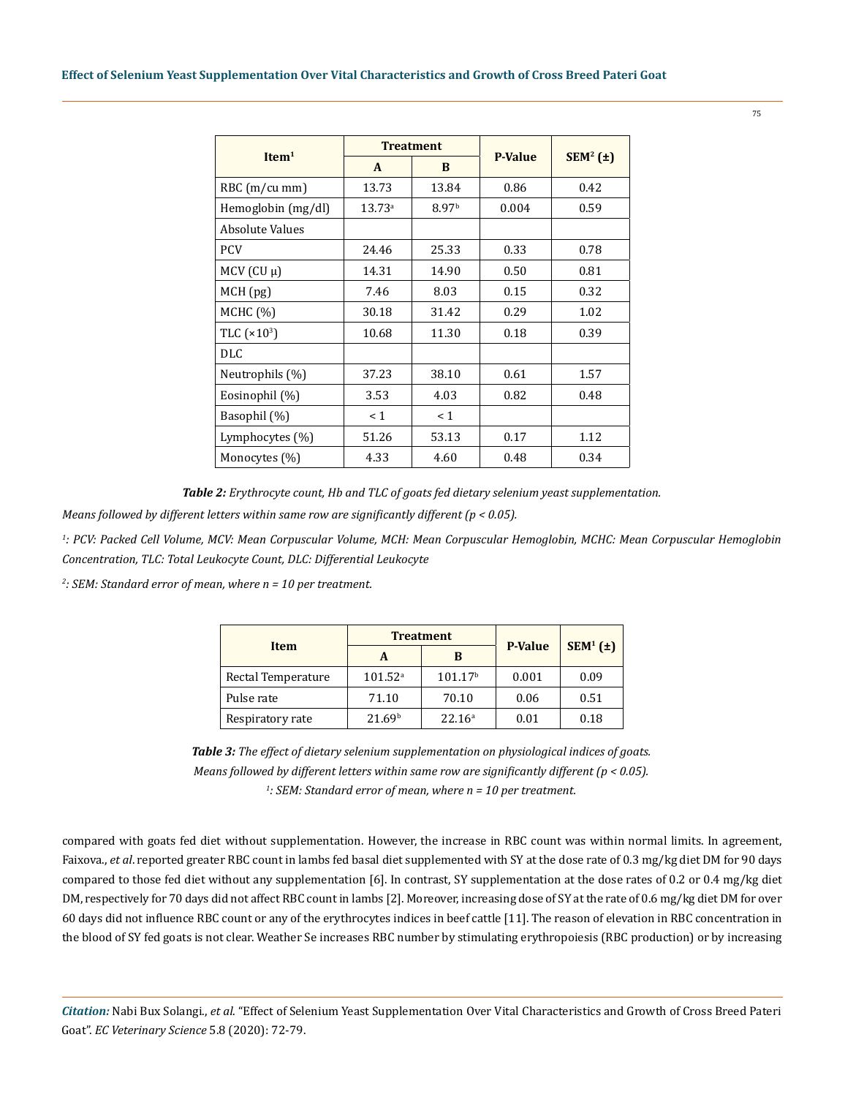| Item <sup>1</sup>  |              | <b>Treatment</b>  | <b>P-Value</b> | $SEM^2(\pm)$ |
|--------------------|--------------|-------------------|----------------|--------------|
|                    | $\mathbf{A}$ | B                 |                |              |
| $RBC$ (m/cu mm)    | 13.73        | 13.84             | 0.86           | 0.42         |
| Hemoglobin (mg/dl) | $13.73^a$    | 8.97 <sup>b</sup> | 0.004          | 0.59         |
| Absolute Values    |              |                   |                |              |
| <b>PCV</b>         | 24.46        | 25.33             | 0.33           | 0.78         |
| $MCV$ (CU $\mu$ )  | 14.31        | 14.90             | 0.50           | 0.81         |
| MCH (pg)           | 7.46         | 8.03              | 0.15           | 0.32         |
| MCHC (%)           | 30.18        | 31.42             | 0.29           | 1.02         |
| TLC $(x10^3)$      | 10.68        | 11.30             | 0.18           | 0.39         |
| <b>DLC</b>         |              |                   |                |              |
| Neutrophils (%)    | 37.23        | 38.10             | 0.61           | 1.57         |
| Eosinophil (%)     | 3.53         | 4.03              | 0.82           | 0.48         |
| Basophil (%)       | < 1          | < 1               |                |              |
| Lymphocytes $(\%)$ | 51.26        | 53.13             | 0.17           | 1.12         |
| Monocytes (%)      | 4.33         | 4.60              | 0.48           | 0.34         |

*Table 2: Erythrocyte count, Hb and TLC of goats fed dietary selenium yeast supplementation.*

*Means followed by different letters within same row are significantly different (p < 0.05).*

*1 : PCV: Packed Cell Volume, MCV: Mean Corpuscular Volume, MCH: Mean Corpuscular Hemoglobin, MCHC: Mean Corpuscular Hemoglobin Concentration, TLC: Total Leukocyte Count, DLC: Differential Leukocyte*

*2 : SEM: Standard error of mean, where n = 10 per treatment.*

| <b>Item</b>        |                    | <b>Treatment</b>    | <b>P-Value</b> | $SEM^1(\pm)$ |
|--------------------|--------------------|---------------------|----------------|--------------|
|                    | A                  | B                   |                |              |
| Rectal Temperature | $101.52^{\circ}$   | 101.17 <sup>b</sup> | 0.001          | 0.09         |
| Pulse rate         | 71.10              | 70.10               | 0.06           | 0.51         |
| Respiratory rate   | 21.69 <sup>b</sup> | 22.16 <sup>a</sup>  | 0.01           | 0.18         |

*Table 3: The effect of dietary selenium supplementation on physiological indices of goats. Means followed by different letters within same row are significantly different (p < 0.05). 1 : SEM: Standard error of mean, where n = 10 per treatment.*

compared with goats fed diet without supplementation. However, the increase in RBC count was within normal limits. In agreement, Faixova., *et al*. reported greater RBC count in lambs fed basal diet supplemented with SY at the dose rate of 0.3 mg/kg diet DM for 90 days compared to those fed diet without any supplementation [6]. In contrast, SY supplementation at the dose rates of 0.2 or 0.4 mg/kg diet DM, respectively for 70 days did not affect RBC count in lambs [2]. Moreover, increasing dose of SY at the rate of 0.6 mg/kg diet DM for over 60 days did not influence RBC count or any of the erythrocytes indices in beef cattle [11]. The reason of elevation in RBC concentration in the blood of SY fed goats is not clear. Weather Se increases RBC number by stimulating erythropoiesis (RBC production) or by increasing

*Citation:* Nabi Bux Solangi., *et al*. "Effect of Selenium Yeast Supplementation Over Vital Characteristics and Growth of Cross Breed Pateri Goat". *EC Veterinary Science* 5.8 (2020): 72-79.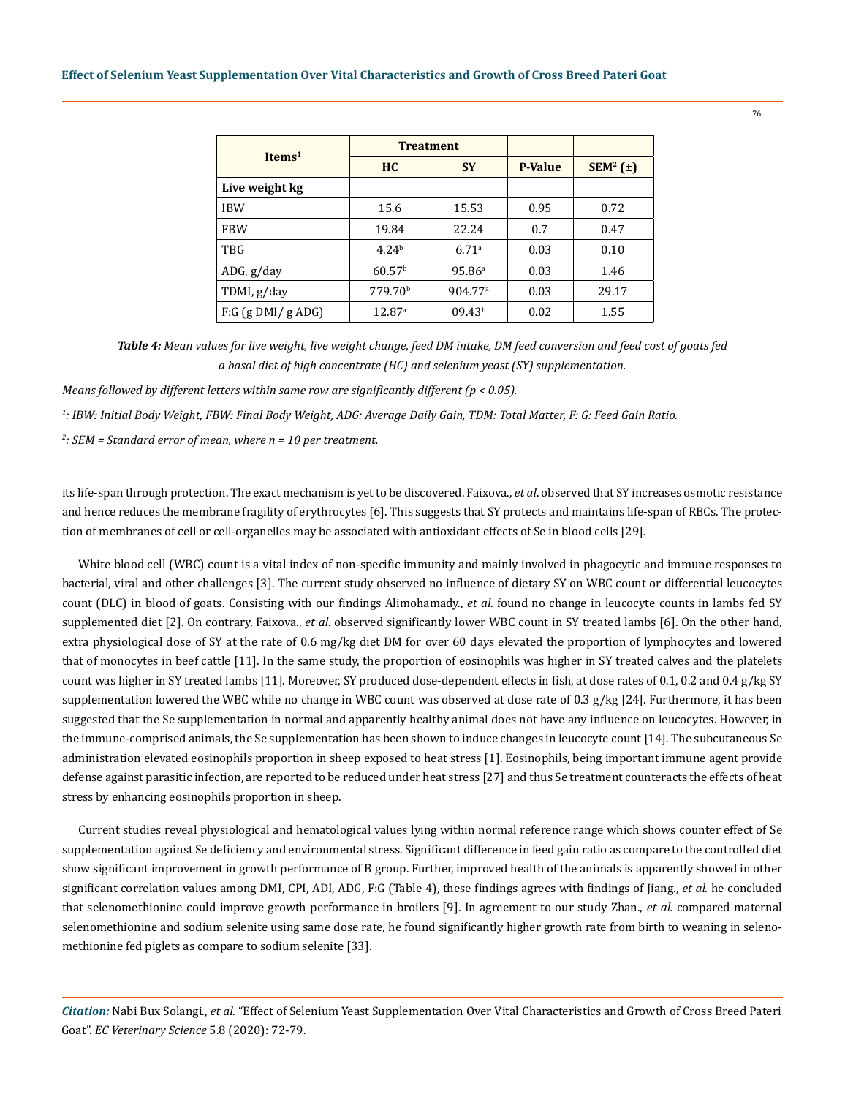| Items <sup>1</sup>  | <b>Treatment</b>    |                     |                |              |
|---------------------|---------------------|---------------------|----------------|--------------|
|                     | <b>HC</b>           | <b>SY</b>           | <b>P-Value</b> | $SEM^2(\pm)$ |
| Live weight kg      |                     |                     |                |              |
| <b>IBW</b>          | 15.6                | 15.53               | 0.95           | 0.72         |
| <b>FBW</b>          | 19.84               | 22.24               | 0.7            | 0.47         |
| TBG                 | 4.24 <sup>b</sup>   | 6.71a               | 0.03           | 0.10         |
| ADG, g/day          | 60.57 <sup>b</sup>  | 95.86 <sup>a</sup>  | 0.03           | 1.46         |
| TDMI, g/day         | 779.70 <sup>b</sup> | 904.77 <sup>a</sup> | 0.03           | 29.17        |
| $F:G$ (g DMI/g ADG) | 12.87a              | 09.43 <sup>b</sup>  | 0.02           | 1.55         |

*Table 4: Mean values for live weight, live weight change, feed DM intake, DM feed conversion and feed cost of goats fed a basal diet of high concentrate (HC) and selenium yeast (SY) supplementation.* 

*Means followed by different letters within same row are significantly different (p < 0.05).*

*1 : IBW: Initial Body Weight, FBW: Final Body Weight, ADG: Average Daily Gain, TDM: Total Matter, F: G: Feed Gain Ratio.*

*2 : SEM = Standard error of mean, where n = 10 per treatment.*

its life-span through protection. The exact mechanism is yet to be discovered. Faixova., *et al*. observed that SY increases osmotic resistance and hence reduces the membrane fragility of erythrocytes [6]. This suggests that SY protects and maintains life-span of RBCs. The protection of membranes of cell or cell-organelles may be associated with antioxidant effects of Se in blood cells [29].

White blood cell (WBC) count is a vital index of non-specific immunity and mainly involved in phagocytic and immune responses to bacterial, viral and other challenges [3]. The current study observed no influence of dietary SY on WBC count or differential leucocytes count (DLC) in blood of goats. Consisting with our findings Alimohamady., *et al*. found no change in leucocyte counts in lambs fed SY supplemented diet [2]. On contrary, Faixova., *et al*. observed significantly lower WBC count in SY treated lambs [6]. On the other hand, extra physiological dose of SY at the rate of 0.6 mg/kg diet DM for over 60 days elevated the proportion of lymphocytes and lowered that of monocytes in beef cattle [11]. In the same study, the proportion of eosinophils was higher in SY treated calves and the platelets count was higher in SY treated lambs [11]. Moreover, SY produced dose-dependent effects in fish, at dose rates of 0.1, 0.2 and 0.4 g/kg SY supplementation lowered the WBC while no change in WBC count was observed at dose rate of 0.3 g/kg [24]. Furthermore, it has been suggested that the Se supplementation in normal and apparently healthy animal does not have any influence on leucocytes. However, in the immune-comprised animals, the Se supplementation has been shown to induce changes in leucocyte count [14]. The subcutaneous Se administration elevated eosinophils proportion in sheep exposed to heat stress [1]. Eosinophils, being important immune agent provide defense against parasitic infection, are reported to be reduced under heat stress [27] and thus Se treatment counteracts the effects of heat stress by enhancing eosinophils proportion in sheep.

Current studies reveal physiological and hematological values lying within normal reference range which shows counter effect of Se supplementation against Se deficiency and environmental stress. Significant difference in feed gain ratio as compare to the controlled diet show significant improvement in growth performance of B group. Further, improved health of the animals is apparently showed in other significant correlation values among DMI, CPI, ADI, ADG, F:G (Table 4), these findings agrees with findings of Jiang., *et al.* he concluded that selenomethionine could improve growth performance in broilers [9]. In agreement to our study Zhan., *et al.* compared maternal selenomethionine and sodium selenite using same dose rate, he found significantly higher growth rate from birth to weaning in selenomethionine fed piglets as compare to sodium selenite [33].

*Citation:* Nabi Bux Solangi., *et al*. "Effect of Selenium Yeast Supplementation Over Vital Characteristics and Growth of Cross Breed Pateri Goat". *EC Veterinary Science* 5.8 (2020): 72-79.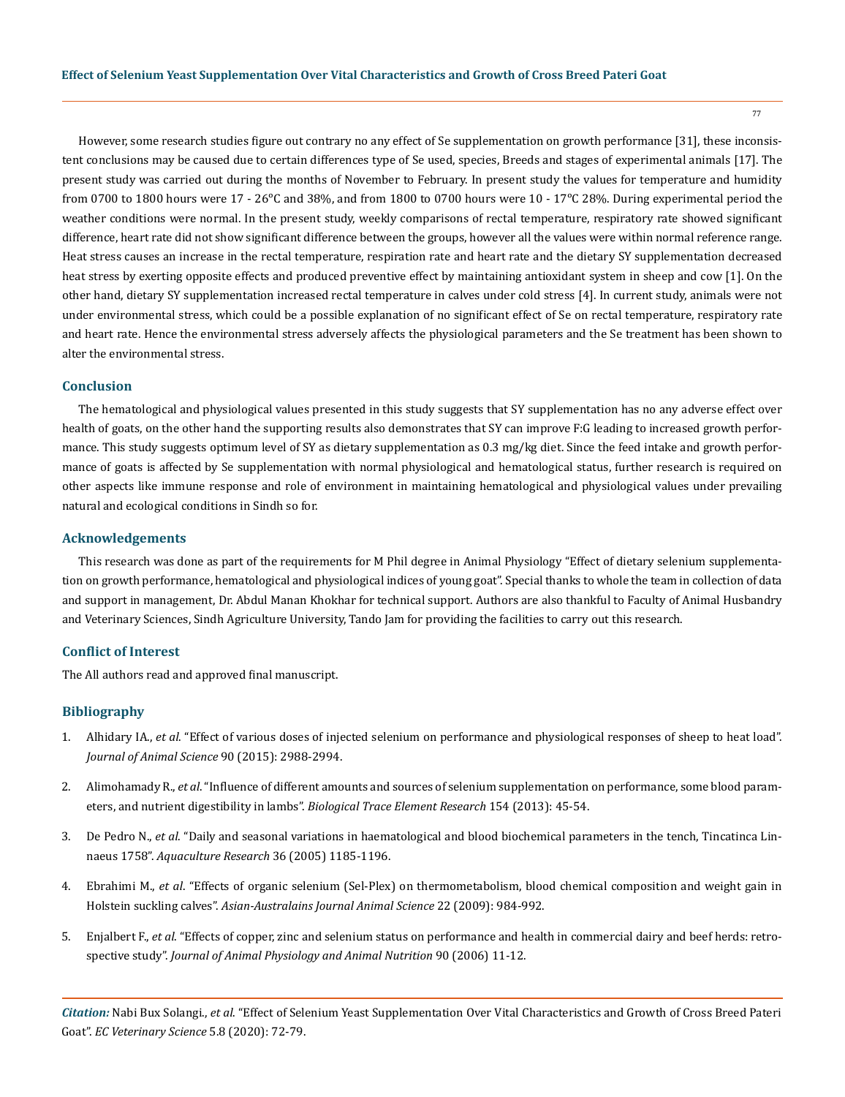However, some research studies figure out contrary no any effect of Se supplementation on growth performance [31], these inconsistent conclusions may be caused due to certain differences type of Se used, species, Breeds and stages of experimental animals [17]. The present study was carried out during the months of November to February. In present study the values for temperature and humidity from 0700 to 1800 hours were 17 - 26 $^{\circ}$ C and 38%, and from 1800 to 0700 hours were 10 - 17 $^{\circ}$ C 28%. During experimental period the weather conditions were normal. In the present study, weekly comparisons of rectal temperature, respiratory rate showed significant difference, heart rate did not show significant difference between the groups, however all the values were within normal reference range. Heat stress causes an increase in the rectal temperature, respiration rate and heart rate and the dietary SY supplementation decreased heat stress by exerting opposite effects and produced preventive effect by maintaining antioxidant system in sheep and cow [1]. On the other hand, dietary SY supplementation increased rectal temperature in calves under cold stress [4]. In current study, animals were not under environmental stress, which could be a possible explanation of no significant effect of Se on rectal temperature, respiratory rate and heart rate. Hence the environmental stress adversely affects the physiological parameters and the Se treatment has been shown to alter the environmental stress.

#### **Conclusion**

The hematological and physiological values presented in this study suggests that SY supplementation has no any adverse effect over health of goats, on the other hand the supporting results also demonstrates that SY can improve F:G leading to increased growth performance. This study suggests optimum level of SY as dietary supplementation as 0.3 mg/kg diet. Since the feed intake and growth performance of goats is affected by Se supplementation with normal physiological and hematological status, further research is required on other aspects like immune response and role of environment in maintaining hematological and physiological values under prevailing natural and ecological conditions in Sindh so for.

#### **Acknowledgements**

This research was done as part of the requirements for M Phil degree in Animal Physiology "Effect of dietary selenium supplementation on growth performance, hematological and physiological indices of young goat". Special thanks to whole the team in collection of data and support in management, Dr. Abdul Manan Khokhar for technical support. Authors are also thankful to Faculty of Animal Husbandry and Veterinary Sciences, Sindh Agriculture University, Tando Jam for providing the facilities to carry out this research.

#### **Conflict of Interest**

The All authors read and approved final manuscript.

#### **Bibliography**

- 1. Alhidary IA., *et al*[. "Effect of various doses of injected selenium on performance and physiological responses of sheep to heat load".](https://www.researchgate.net/publication/224958509_Effect_of_various_doses_of_injected_selenium_on_performance_and_physiological_responses_of_sheep_to_heat_load)  *[Journal of Animal Science](https://www.researchgate.net/publication/224958509_Effect_of_various_doses_of_injected_selenium_on_performance_and_physiological_responses_of_sheep_to_heat_load)* 90 (2015): 2988-2994.
- 2. Alimohamady R., *et al*[. "Influence of different amounts and sources of selenium supplementation on performance, some blood param](https://pubmed.ncbi.nlm.nih.gov/23677850/)eters, and nutrient digestibility in lambs". *[Biological Trace Element Research](https://pubmed.ncbi.nlm.nih.gov/23677850/)* 154 (2013): 45-54.
- 3. De Pedro N., *et al*[. "Daily and seasonal variations in haematological and blood biochemical parameters in the tench, Tincatinca Lin](https://onlinelibrary.wiley.com/doi/abs/10.1111/j.1365-2109.2005.01338.x)naeus 1758". *[Aquaculture Research](https://onlinelibrary.wiley.com/doi/abs/10.1111/j.1365-2109.2005.01338.x)* 36 (2005) 1185-1196.
- 4. Ebrahimi M., *et al*[. "Effects of organic selenium \(Sel-Plex\) on thermometabolism, blood chemical composition and weight gain in](https://www.researchgate.net/publication/264143862_Effect_of_Organic_Selenium_Sel-Plex_on_Thermometabolism_Blood_Chemical_Composition_and_Weight_Gain_in_Holstein_Suckling_Calves)  Holstein suckling calves". *[Asian-Australains Journal Animal Science](https://www.researchgate.net/publication/264143862_Effect_of_Organic_Selenium_Sel-Plex_on_Thermometabolism_Blood_Chemical_Composition_and_Weight_Gain_in_Holstein_Suckling_Calves)* 22 (2009): 984-992.
- 5. Enjalbert F., *et al*[. "Effects of copper, zinc and selenium status on performance and health in commercial dairy and beef herds: retro](https://www.researchgate.net/publication/6714365_Effects_of_copper_zinc_and_selenium_status_on_performance_and_health_in_commercial_dairy_and_beef_herds_Retrospective_study)spective study". *[Journal of Animal Physiology and Animal Nutrition](https://www.researchgate.net/publication/6714365_Effects_of_copper_zinc_and_selenium_status_on_performance_and_health_in_commercial_dairy_and_beef_herds_Retrospective_study)* 90 (2006) 11-12.

*Citation:* Nabi Bux Solangi., *et al*. "Effect of Selenium Yeast Supplementation Over Vital Characteristics and Growth of Cross Breed Pateri Goat". *EC Veterinary Science* 5.8 (2020): 72-79.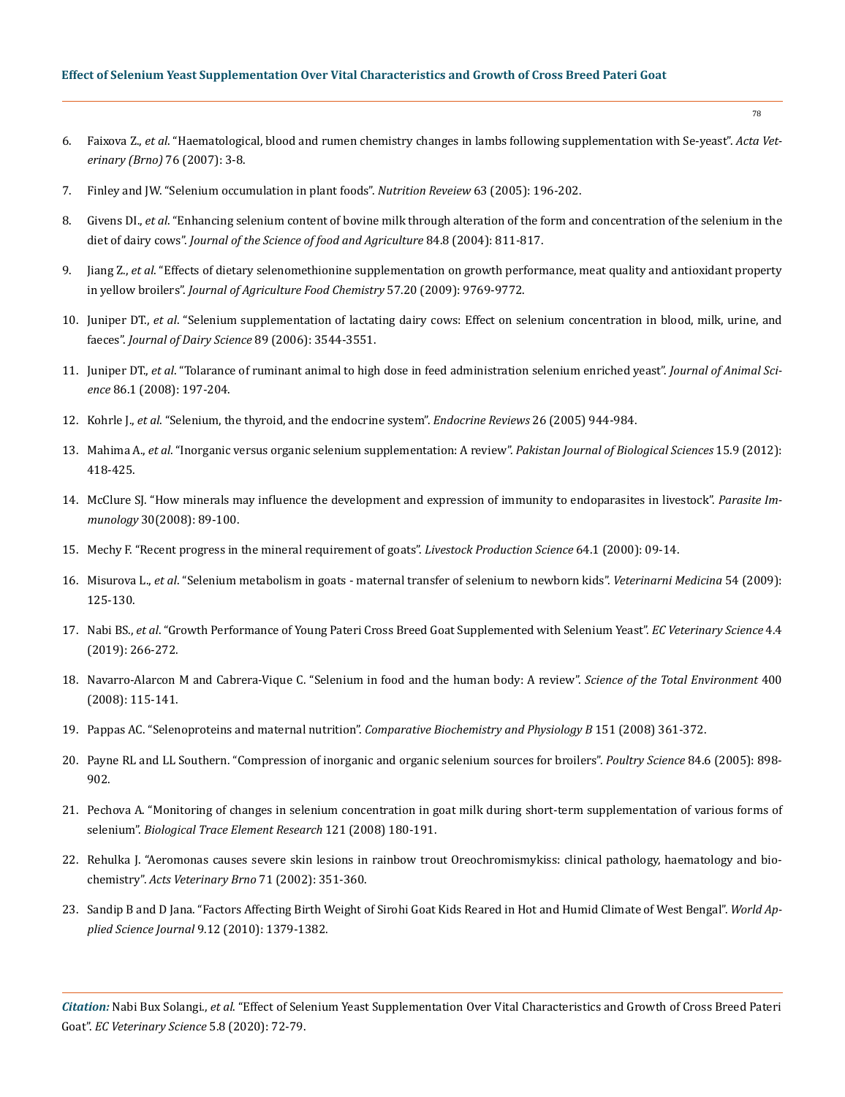## **Effect of Selenium Yeast Supplementation Over Vital Characteristics and Growth of Cross Breed Pateri Goat**

- 6. Faixova Z., *et al*[. "Haematological, blood and rumen chemistry changes in lambs following supplementation with Se-yeast".](https://www.researchgate.net/publication/250174961_Haematological_Blood_and_Rumen_Chemistry_Changes_in_Lambs_Following_Supplementation_with_Se-yeast) *Acta Vet[erinary \(Brno\)](https://www.researchgate.net/publication/250174961_Haematological_Blood_and_Rumen_Chemistry_Changes_in_Lambs_Following_Supplementation_with_Se-yeast)* 76 (2007): 3-8.
- 7. [Finley and JW. "Selenium occumulation in plant foods".](https://www.researchgate.net/publication/7715548_Selenium_Accumulation_in_Plant_Foods) *Nutrition Reveiew* 63 (2005): 196-202.
- 8. Givens DI., *et al*[. "Enhancing selenium content of bovine milk through alteration of the form and concentration of the selenium in the](https://onlinelibrary.wiley.com/doi/abs/10.1002/jsfa.1737)  diet of dairy cows". *[Journal of the Science of food and Agriculture](https://onlinelibrary.wiley.com/doi/abs/10.1002/jsfa.1737)* 84.8 (2004): 811-817.
- 9. Jiang Z., *et al*[. "Effects of dietary selenomethionine supplementation on growth performance, meat quality and antioxidant property](https://pubs.acs.org/doi/10.1021/jf902411c)  in yellow broilers". *[Journal of Agriculture Food Chemistry](https://pubs.acs.org/doi/10.1021/jf902411c)* 57.20 (2009): 9769-9772.
- 10. Juniper DT., *et al*[. "Selenium supplementation of lactating dairy cows: Effect on selenium concentration in blood, milk, urine, and](https://www.sciencedirect.com/science/article/pii/S0022030206723943)  faeces". *[Journal of Dairy Science](https://www.sciencedirect.com/science/article/pii/S0022030206723943)* 89 (2006): 3544-3551.
- 11. Juniper DT., *et al*[. "Tolarance of ruminant animal to high dose in feed administration selenium enriched yeast".](https://pubmed.ncbi.nlm.nih.gov/17878272/) *Journal of Animal Science* [86.1 \(2008\): 197-204.](https://pubmed.ncbi.nlm.nih.gov/17878272/)
- 12. Kohrle J., *et al*[. "Selenium, the thyroid, and the endocrine system".](https://academic.oup.com/edrv/article/26/7/944/2355177) *Endocrine Reviews* 26 (2005) 944-984.
- 13. Mahima A., *et al*[. "Inorganic versus organic selenium supplementation: A review".](https://scialert.net/fulltext/?doi=pjbs.2012.418.425) *Pakistan Journal of Biological Sciences* 15.9 (2012): [418-425.](https://scialert.net/fulltext/?doi=pjbs.2012.418.425)
- 14. [McClure SJ. "How minerals may influence the development and expression of immunity to endoparasites in livestock".](https://pubmed.ncbi.nlm.nih.gov/18186769/) *Parasite Immunology* [30\(2008\): 89-100.](https://pubmed.ncbi.nlm.nih.gov/18186769/)
- 15. [Mechy F. "Recent progress in the mineral requirement of goats".](http://www.goatworld.com/articles/nutrition/mineralnutrition.shtml) *Livestock Production Science* 64.1 (2000): 09-14.
- 16. Misurova L., *et al*[. "Selenium metabolism in goats maternal transfer of selenium to newborn kids".](https://www.agriculturejournals.cz/publicFiles/05520.pdf) *Veterinarni Medicina* 54 (2009): [125-130.](https://www.agriculturejournals.cz/publicFiles/05520.pdf)
- 17. Nabi BS., *et al*[. "Growth Performance of Young Pateri Cross Breed Goat Supplemented with Selenium Yeast".](https://www.ecronicon.com/ecve/pdf/ECVE-04-00094.pdf) *EC Veterinary Science* 4.4 [\(2019\): 266-272.](https://www.ecronicon.com/ecve/pdf/ECVE-04-00094.pdf)
- 18. [Navarro-Alarcon M and Cabrera-Vique C. "Selenium in food and the human body: A review".](https://www.researchgate.net/publication/51430900_Selenium_in_food_and_the_human_body_A_review) *Science of the Total Environment* 400 [\(2008\): 115-141.](https://www.researchgate.net/publication/51430900_Selenium_in_food_and_the_human_body_A_review)
- 19. Pappas AC. "Selenoproteins and maternal nutrition". *[Comparative Biochemistry and Physiology B](https://pubmed.ncbi.nlm.nih.gov/18790070/)* 151 (2008) 361-372.
- 20. [Payne RL and LL Southern. "Compression of inorganic and organic selenium sources for broilers".](https://pubmed.ncbi.nlm.nih.gov/15971527/) *Poultry Science* 84.6 (2005): 898- [902.](https://pubmed.ncbi.nlm.nih.gov/15971527/)
- 21. [Pechova A. "Monitoring of changes in selenium concentration in goat milk during short-term supplementation of various forms of](https://pubmed.ncbi.nlm.nih.gov/17968517/)  selenium". *[Biological Trace Element Research](https://pubmed.ncbi.nlm.nih.gov/17968517/)* 121 (2008) 180-191.
- 22. [Rehulka J. "Aeromonas causes severe skin lesions in rainbow trout Oreochromismykiss: clinical pathology, haematology and bio](https://actavet.vfu.cz/media/pdf/avb_2002071030351.pdf)chemistry". *[Acts Veterinary Brno](https://actavet.vfu.cz/media/pdf/avb_2002071030351.pdf)* 71 (2002): 351-360.
- 23. [Sandip B and D Jana. "Factors Affecting Birth Weight of Sirohi Goat Kids Reared in Hot and Humid Climate of West Bengal".](https://www.researchgate.net/publication/236345693_Factors_affecting_birth_weight_of_Sirohi_goat_kids_reared_in_hot_and_humid_climate_of_west_Bengal) *World Applied Science Journal* [9.12 \(2010\): 1379-1382.](https://www.researchgate.net/publication/236345693_Factors_affecting_birth_weight_of_Sirohi_goat_kids_reared_in_hot_and_humid_climate_of_west_Bengal)

*Citation:* Nabi Bux Solangi., *et al*. "Effect of Selenium Yeast Supplementation Over Vital Characteristics and Growth of Cross Breed Pateri Goat". *EC Veterinary Science* 5.8 (2020): 72-79.